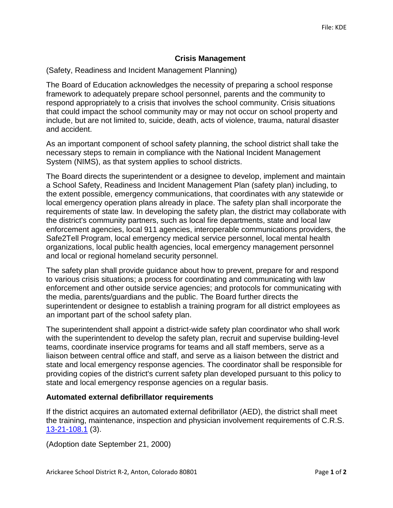## **Crisis Management**

(Safety, Readiness and Incident Management Planning)

The Board of Education acknowledges the necessity of preparing a school response framework to adequately prepare school personnel, parents and the community to respond appropriately to a crisis that involves the school community. Crisis situations that could impact the school community may or may not occur on school property and include, but are not limited to, suicide, death, acts of violence, trauma, natural disaster and accident.

As an important component of school safety planning, the school district shall take the necessary steps to remain in compliance with the National Incident Management System (NIMS), as that system applies to school districts.

The Board directs the superintendent or a designee to develop, implement and maintain a School Safety, Readiness and Incident Management Plan (safety plan) including, to the extent possible, emergency communications, that coordinates with any statewide or local emergency operation plans already in place. The safety plan shall incorporate the requirements of state law. In developing the safety plan, the district may collaborate with the district's community partners, such as local fire departments, state and local law enforcement agencies, local 911 agencies, interoperable communications providers, the Safe2Tell Program, local emergency medical service personnel, local mental health organizations, local public health agencies, local emergency management personnel and local or regional homeland security personnel.

The safety plan shall provide guidance about how to prevent, prepare for and respond to various crisis situations; a process for coordinating and communicating with law enforcement and other outside service agencies; and protocols for communicating with the media, parents/guardians and the public. The Board further directs the superintendent or designee to establish a training program for all district employees as an important part of the school safety plan.

The superintendent shall appoint a district-wide safety plan coordinator who shall work with the superintendent to develop the safety plan, recruit and supervise building-level teams, coordinate inservice programs for teams and all staff members, serve as a liaison between central office and staff, and serve as a liaison between the district and state and local emergency response agencies. The coordinator shall be responsible for providing copies of the district's current safety plan developed pursuant to this policy to state and local emergency response agencies on a regular basis.

## **Automated external defibrillator requirements**

If the district acquires an automated external defibrillator (AED), the district shall meet the training, maintenance, inspection and physician involvement requirements of C.R.S. [13-21-108.1](http://www.lpdirect.net/casb/crs/13-21-108_1.html) (3).

(Adoption date September 21, 2000)